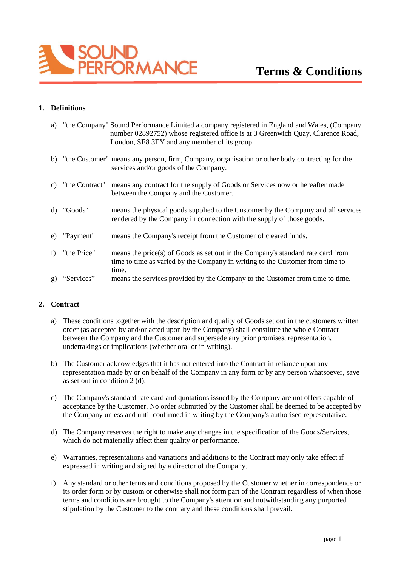

## **1. Definitions**

| a) |                | "the Company" Sound Performance Limited a company registered in England and Wales, (Company<br>number 02892752) whose registered office is at 3 Greenwich Quay, Clarence Road,<br>London, SE8 3EY and any member of its group. |
|----|----------------|--------------------------------------------------------------------------------------------------------------------------------------------------------------------------------------------------------------------------------|
|    |                | b) "the Customer" means any person, firm, Company, organisation or other body contracting for the<br>services and/or goods of the Company.                                                                                     |
| C) | "the Contract" | means any contract for the supply of Goods or Services now or hereafter made<br>between the Company and the Customer.                                                                                                          |
| d) | "Goods"        | means the physical goods supplied to the Customer by the Company and all services<br>rendered by the Company in connection with the supply of those goods.                                                                     |
| e) | "Payment"      | means the Company's receipt from the Customer of cleared funds.                                                                                                                                                                |
| f  | "the Price"    | means the price(s) of Goods as set out in the Company's standard rate card from<br>time to time as varied by the Company in writing to the Customer from time to<br>time.                                                      |
| g) | "Services"     | means the services provided by the Company to the Customer from time to time.                                                                                                                                                  |

#### **2. Contract**

- a) These conditions together with the description and quality of Goods set out in the customers written order (as accepted by and/or acted upon by the Company) shall constitute the whole Contract between the Company and the Customer and supersede any prior promises, representation, undertakings or implications (whether oral or in writing).
- b) The Customer acknowledges that it has not entered into the Contract in reliance upon any representation made by or on behalf of the Company in any form or by any person whatsoever, save as set out in condition 2 (d).
- c) The Company's standard rate card and quotations issued by the Company are not offers capable of acceptance by the Customer. No order submitted by the Customer shall be deemed to be accepted by the Company unless and until confirmed in writing by the Company's authorised representative.
- d) The Company reserves the right to make any changes in the specification of the Goods/Services, which do not materially affect their quality or performance.
- e) Warranties, representations and variations and additions to the Contract may only take effect if expressed in writing and signed by a director of the Company.
- f) Any standard or other terms and conditions proposed by the Customer whether in correspondence or its order form or by custom or otherwise shall not form part of the Contract regardless of when those terms and conditions are brought to the Company's attention and notwithstanding any purported stipulation by the Customer to the contrary and these conditions shall prevail.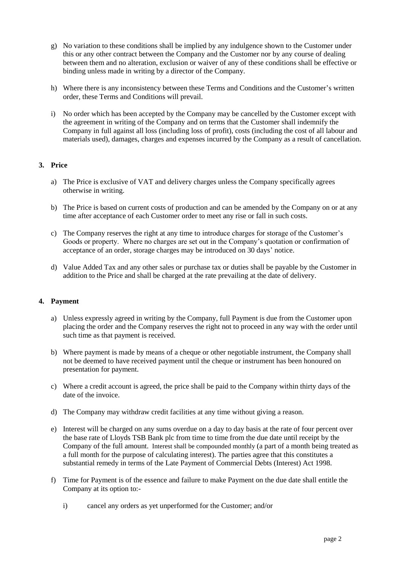- g) No variation to these conditions shall be implied by any indulgence shown to the Customer under this or any other contract between the Company and the Customer nor by any course of dealing between them and no alteration, exclusion or waiver of any of these conditions shall be effective or binding unless made in writing by a director of the Company.
- h) Where there is any inconsistency between these Terms and Conditions and the Customer's written order, these Terms and Conditions will prevail.
- i) No order which has been accepted by the Company may be cancelled by the Customer except with the agreement in writing of the Company and on terms that the Customer shall indemnify the Company in full against all loss (including loss of profit), costs (including the cost of all labour and materials used), damages, charges and expenses incurred by the Company as a result of cancellation.

## **3. Price**

- a) The Price is exclusive of VAT and delivery charges unless the Company specifically agrees otherwise in writing.
- b) The Price is based on current costs of production and can be amended by the Company on or at any time after acceptance of each Customer order to meet any rise or fall in such costs.
- c) The Company reserves the right at any time to introduce charges for storage of the Customer's Goods or property. Where no charges are set out in the Company's quotation or confirmation of acceptance of an order, storage charges may be introduced on 30 days' notice.
- d) Value Added Tax and any other sales or purchase tax or duties shall be payable by the Customer in addition to the Price and shall be charged at the rate prevailing at the date of delivery.

#### **4. Payment**

- a) Unless expressly agreed in writing by the Company, full Payment is due from the Customer upon placing the order and the Company reserves the right not to proceed in any way with the order until such time as that payment is received.
- b) Where payment is made by means of a cheque or other negotiable instrument, the Company shall not be deemed to have received payment until the cheque or instrument has been honoured on presentation for payment.
- c) Where a credit account is agreed, the price shall be paid to the Company within thirty days of the date of the invoice.
- d) The Company may withdraw credit facilities at any time without giving a reason.
- e) Interest will be charged on any sums overdue on a day to day basis at the rate of four percent over the base rate of Lloyds TSB Bank plc from time to time from the due date until receipt by the Company of the full amount. Interest shall be compounded monthly (a part of a month being treated as a full month for the purpose of calculating interest). The parties agree that this constitutes a substantial remedy in terms of the Late Payment of Commercial Debts (Interest) Act 1998.
- f) Time for Payment is of the essence and failure to make Payment on the due date shall entitle the Company at its option to:
	- i) cancel any orders as yet unperformed for the Customer; and/or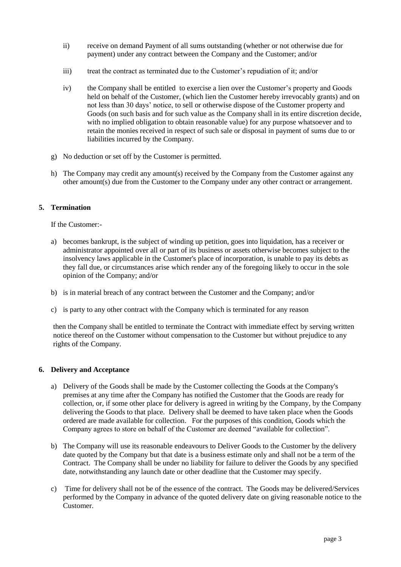- ii) receive on demand Payment of all sums outstanding (whether or not otherwise due for payment) under any contract between the Company and the Customer; and/or
- iii) treat the contract as terminated due to the Customer's repudiation of it; and/or
- iv) the Company shall be entitled to exercise a lien over the Customer's property and Goods held on behalf of the Customer, (which lien the Customer hereby irrevocably grants) and on not less than 30 days' notice, to sell or otherwise dispose of the Customer property and Goods (on such basis and for such value as the Company shall in its entire discretion decide, with no implied obligation to obtain reasonable value) for any purpose whatsoever and to retain the monies received in respect of such sale or disposal in payment of sums due to or liabilities incurred by the Company.
- g) No deduction or set off by the Customer is permitted.
- h) The Company may credit any amount(s) received by the Company from the Customer against any other amount(s) due from the Customer to the Company under any other contract or arrangement.

## **5. Termination**

If the Customer:-

- a) becomes bankrupt, is the subject of winding up petition, goes into liquidation, has a receiver or administrator appointed over all or part of its business or assets otherwise becomes subject to the insolvency laws applicable in the Customer's place of incorporation, is unable to pay its debts as they fall due, or circumstances arise which render any of the foregoing likely to occur in the sole opinion of the Company; and/or
- b) is in material breach of any contract between the Customer and the Company; and/or
- c) is party to any other contract with the Company which is terminated for any reason

then the Company shall be entitled to terminate the Contract with immediate effect by serving written notice thereof on the Customer without compensation to the Customer but without prejudice to any rights of the Company.

#### **6. Delivery and Acceptance**

- a) Delivery of the Goods shall be made by the Customer collecting the Goods at the Company's premises at any time after the Company has notified the Customer that the Goods are ready for collection, or, if some other place for delivery is agreed in writing by the Company, by the Company delivering the Goods to that place. Delivery shall be deemed to have taken place when the Goods ordered are made available for collection. For the purposes of this condition, Goods which the Company agrees to store on behalf of the Customer are deemed "available for collection".
- b) The Company will use its reasonable endeavours to Deliver Goods to the Customer by the delivery date quoted by the Company but that date is a business estimate only and shall not be a term of the Contract. The Company shall be under no liability for failure to deliver the Goods by any specified date, notwithstanding any launch date or other deadline that the Customer may specify.
- c) Time for delivery shall not be of the essence of the contract. The Goods may be delivered/Services performed by the Company in advance of the quoted delivery date on giving reasonable notice to the Customer.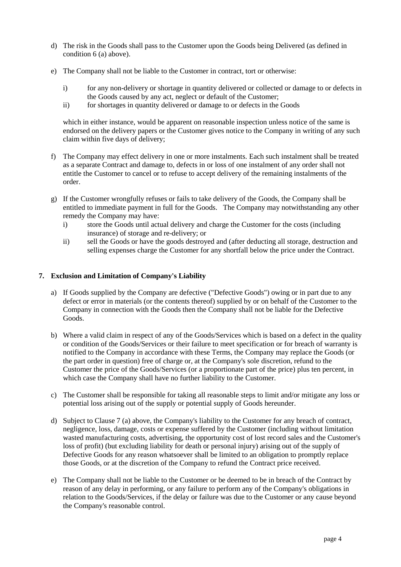- d) The risk in the Goods shall pass to the Customer upon the Goods being Delivered (as defined in condition 6 (a) above).
- e) The Company shall not be liable to the Customer in contract, tort or otherwise:
	- i) for any non-delivery or shortage in quantity delivered or collected or damage to or defects in the Goods caused by any act, neglect or default of the Customer;
	- ii) for shortages in quantity delivered or damage to or defects in the Goods

which in either instance, would be apparent on reasonable inspection unless notice of the same is endorsed on the delivery papers or the Customer gives notice to the Company in writing of any such claim within five days of delivery;

- f) The Company may effect delivery in one or more instalments. Each such instalment shall be treated as a separate Contract and damage to, defects in or loss of one instalment of any order shall not entitle the Customer to cancel or to refuse to accept delivery of the remaining instalments of the order.
- g) If the Customer wrongfully refuses or fails to take delivery of the Goods, the Company shall be entitled to immediate payment in full for the Goods. The Company may notwithstanding any other remedy the Company may have:
	- i) store the Goods until actual delivery and charge the Customer for the costs (including insurance) of storage and re-delivery; or
	- ii) sell the Goods or have the goods destroyed and (after deducting all storage, destruction and selling expenses charge the Customer for any shortfall below the price under the Contract.

## **7. Exclusion and Limitation of Company's Liability**

- a) If Goods supplied by the Company are defective ("Defective Goods") owing or in part due to any defect or error in materials (or the contents thereof) supplied by or on behalf of the Customer to the Company in connection with the Goods then the Company shall not be liable for the Defective Goods.
- b) Where a valid claim in respect of any of the Goods/Services which is based on a defect in the quality or condition of the Goods/Services or their failure to meet specification or for breach of warranty is notified to the Company in accordance with these Terms, the Company may replace the Goods (or the part order in question) free of charge or, at the Company's sole discretion, refund to the Customer the price of the Goods/Services (or a proportionate part of the price) plus ten percent, in which case the Company shall have no further liability to the Customer.
- c) The Customer shall be responsible for taking all reasonable steps to limit and/or mitigate any loss or potential loss arising out of the supply or potential supply of Goods hereunder.
- d) Subject to Clause 7 (a) above, the Company's liability to the Customer for any breach of contract, negligence, loss, damage, costs or expense suffered by the Customer (including without limitation wasted manufacturing costs, advertising, the opportunity cost of lost record sales and the Customer's loss of profit) (but excluding liability for death or personal injury) arising out of the supply of Defective Goods for any reason whatsoever shall be limited to an obligation to promptly replace those Goods, or at the discretion of the Company to refund the Contract price received.
- e) The Company shall not be liable to the Customer or be deemed to be in breach of the Contract by reason of any delay in performing, or any failure to perform any of the Company's obligations in relation to the Goods/Services, if the delay or failure was due to the Customer or any cause beyond the Company's reasonable control.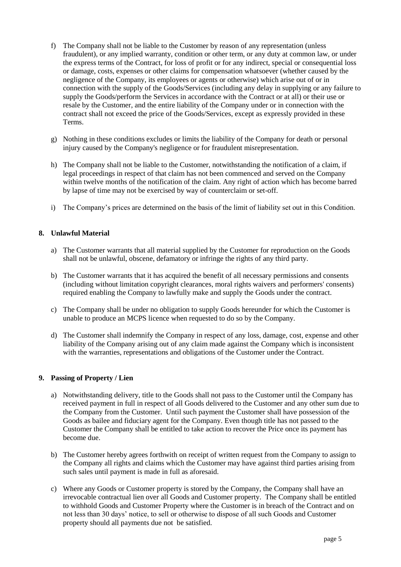- f) The Company shall not be liable to the Customer by reason of any representation (unless fraudulent), or any implied warranty, condition or other term, or any duty at common law, or under the express terms of the Contract, for loss of profit or for any indirect, special or consequential loss or damage, costs, expenses or other claims for compensation whatsoever (whether caused by the negligence of the Company, its employees or agents or otherwise) which arise out of or in connection with the supply of the Goods/Services (including any delay in supplying or any failure to supply the Goods/perform the Services in accordance with the Contract or at all) or their use or resale by the Customer, and the entire liability of the Company under or in connection with the contract shall not exceed the price of the Goods/Services, except as expressly provided in these Terms.
- g) Nothing in these conditions excludes or limits the liability of the Company for death or personal injury caused by the Company's negligence or for fraudulent misrepresentation.
- h) The Company shall not be liable to the Customer, notwithstanding the notification of a claim, if legal proceedings in respect of that claim has not been commenced and served on the Company within twelve months of the notification of the claim. Any right of action which has become barred by lapse of time may not be exercised by way of counterclaim or set-off.
- i) The Company's prices are determined on the basis of the limit of liability set out in this Condition.

#### **8. Unlawful Material**

- a) The Customer warrants that all material supplied by the Customer for reproduction on the Goods shall not be unlawful, obscene, defamatory or infringe the rights of any third party.
- b) The Customer warrants that it has acquired the benefit of all necessary permissions and consents (including without limitation copyright clearances, moral rights waivers and performers' consents) required enabling the Company to lawfully make and supply the Goods under the contract.
- c) The Company shall be under no obligation to supply Goods hereunder for which the Customer is unable to produce an MCPS licence when requested to do so by the Company.
- d) The Customer shall indemnify the Company in respect of any loss, damage, cost, expense and other liability of the Company arising out of any claim made against the Company which is inconsistent with the warranties, representations and obligations of the Customer under the Contract.

#### **9. Passing of Property / Lien**

- a) Notwithstanding delivery, title to the Goods shall not pass to the Customer until the Company has received payment in full in respect of all Goods delivered to the Customer and any other sum due to the Company from the Customer. Until such payment the Customer shall have possession of the Goods as bailee and fiduciary agent for the Company. Even though title has not passed to the Customer the Company shall be entitled to take action to recover the Price once its payment has become due.
- b) The Customer hereby agrees forthwith on receipt of written request from the Company to assign to the Company all rights and claims which the Customer may have against third parties arising from such sales until payment is made in full as aforesaid.
- c) Where any Goods or Customer property is stored by the Company, the Company shall have an irrevocable contractual lien over all Goods and Customer property. The Company shall be entitled to withhold Goods and Customer Property where the Customer is in breach of the Contract and on not less than 30 days' notice, to sell or otherwise to dispose of all such Goods and Customer property should all payments due not be satisfied.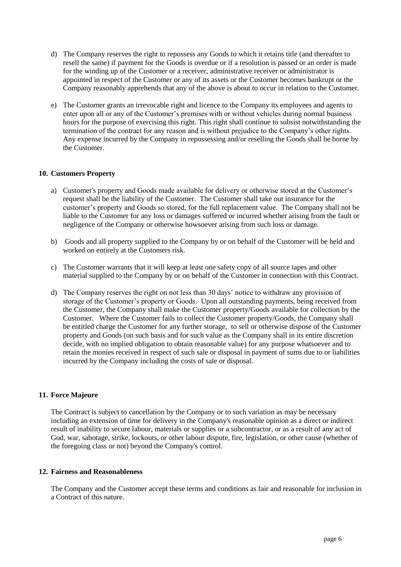- d) The Company reserves the right to repossess any Goods to which it retains title (and thereafter to resell the same) if payment for the Goods is overdue or if a resolution is passed or an order is made for the winding up of the Customer or a receiver, administrative receiver or administrator is appointed in respect of the Customer or any of its assets or the Customer becomes bankrupt or the Company reasonably apprehends that any of the above is about to occur in relation to the Customer.
- e) The Customer grants an irrevocable right and licence to the Company its employees and agents to enter upon all or any of the Customer's premises with or without vehicles during normal business hours for the purpose of exercising this right. This right shall continue to subsist notwithstanding the termination of the contract for any reason and is without prejudice to the Company's other rights. Any expense incurred by the Company in repossessing and/or reselling the Goods shall be borne by the Customer.

#### **10. Customers Property**

- a) Customer's property and Goods made available for delivery or otherwise stored at the Customer's request shall be the liability of the Customer. The Customer shall take out insurance for the customer's property and Goods so stored, for the full replacement value. The Company shall not be liable to the Customer for any loss or damages suffered or incurred whether arising from the fault or negligence of the Company or otherwise howsoever arising from such loss or damage.
- b) Goods and all property supplied to the Company by or on behalf of the Customer will be held and worked on entirely at the Customers risk.
- c) The Customer warrants that it will keep at least one safety copy of all source tapes and other material supplied to the Company by or on behalf of the Customer in connection with this Contract.
- d) The Company reserves the right on not less than 30 days' notice to withdraw any provision of storage of the Customer's property or Goods. Upon all outstanding payments, being received from the Customer, the Company shall make the Customer property/Goods available for collection by the Customer. Where the Customer fails to collect the Customer property/Goods, the Company shall be entitled charge the Customer for any further storage, to sell or otherwise dispose of the Customer property and Goods (on such basis and for such value as the Company shall in its entire discretion decide, with no implied obligation to obtain reasonable value) for any purpose whatsoever and to retain the monies received in respect of such sale or disposal in payment of sums due to or liabilities incurred by the Company including the costs of sale or disposal.

### **11. Force Majeure**

The Contract is subject to cancellation by the Company or to such variation as may be necessary including an extension of time for delivery in the Company's reasonable opinion as a direct or indirect result of inability to secure labour, materials or supplies or a subcontractor, or as a result of any act of God, war, sabotage, strike, lockouts, or other labour dispute, fire, legislation, or other cause (whether of the foregoing class or not) beyond the Company's control.

#### **12. Fairness and Reasonableness**

The Company and the Customer accept these terms and conditions as fair and reasonable for inclusion in a Contract of this nature.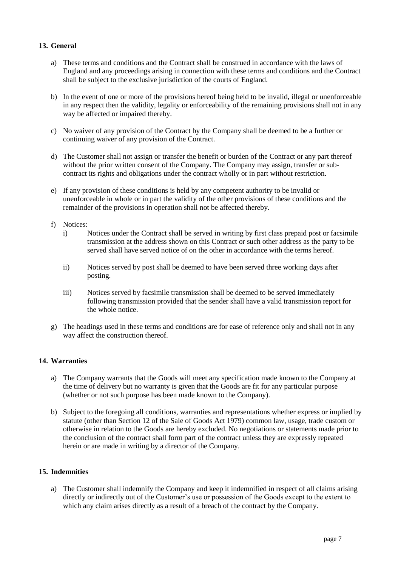# **13. General**

- a) These terms and conditions and the Contract shall be construed in accordance with the laws of England and any proceedings arising in connection with these terms and conditions and the Contract shall be subject to the exclusive jurisdiction of the courts of England.
- b) In the event of one or more of the provisions hereof being held to be invalid, illegal or unenforceable in any respect then the validity, legality or enforceability of the remaining provisions shall not in any way be affected or impaired thereby.
- c) No waiver of any provision of the Contract by the Company shall be deemed to be a further or continuing waiver of any provision of the Contract.
- d) The Customer shall not assign or transfer the benefit or burden of the Contract or any part thereof without the prior written consent of the Company. The Company may assign, transfer or subcontract its rights and obligations under the contract wholly or in part without restriction.
- e) If any provision of these conditions is held by any competent authority to be invalid or unenforceable in whole or in part the validity of the other provisions of these conditions and the remainder of the provisions in operation shall not be affected thereby.
- f) Notices:
	- i) Notices under the Contract shall be served in writing by first class prepaid post or facsimile transmission at the address shown on this Contract or such other address as the party to be served shall have served notice of on the other in accordance with the terms hereof.
	- ii) Notices served by post shall be deemed to have been served three working days after posting.
	- iii) Notices served by facsimile transmission shall be deemed to be served immediately following transmission provided that the sender shall have a valid transmission report for the whole notice.
- g) The headings used in these terms and conditions are for ease of reference only and shall not in any way affect the construction thereof.

#### **14. Warranties**

- a) The Company warrants that the Goods will meet any specification made known to the Company at the time of delivery but no warranty is given that the Goods are fit for any particular purpose (whether or not such purpose has been made known to the Company).
- b) Subject to the foregoing all conditions, warranties and representations whether express or implied by statute (other than Section 12 of the Sale of Goods Act 1979) common law, usage, trade custom or otherwise in relation to the Goods are hereby excluded. No negotiations or statements made prior to the conclusion of the contract shall form part of the contract unless they are expressly repeated herein or are made in writing by a director of the Company.

#### **15. Indemnities**

a) The Customer shall indemnify the Company and keep it indemnified in respect of all claims arising directly or indirectly out of the Customer's use or possession of the Goods except to the extent to which any claim arises directly as a result of a breach of the contract by the Company.